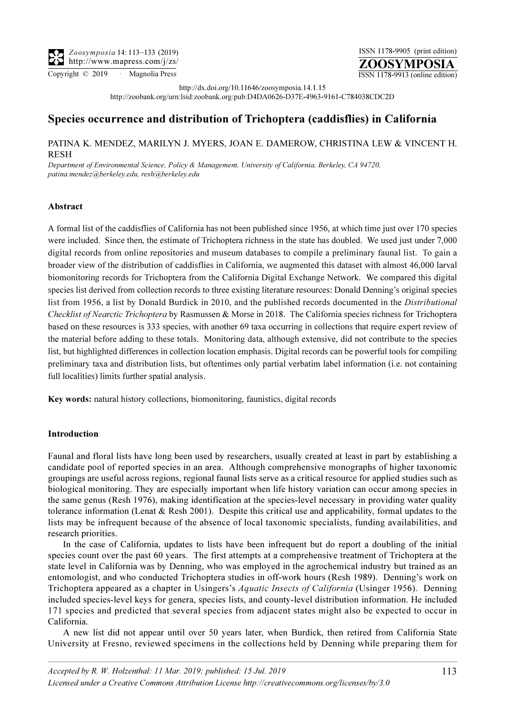http://dx.doi.org/10.11646/zoosymposia.14.1.15

http://zoobank.org/urn:lsid:zoobank.org:pub:D4DA0626-D37E-4963-9161-C784038CDC2D

# Species occurrence and distribution of Trichoptera (caddisflies) in California

# PATINA K. MENDEZ, MARILYN J. MYERS, JOAN E. DAMEROW, CHRISTINA LEW & VINCENT H. RESH

Department of Environmental Science, Policy & Management, University of California, Berkeley, CA 94720, patina.mendez@berkeley.edu, resh@berkeley.edu

### Abstract

A formal list of the caddisflies of California has not been published since 1956, at which time just over 170 species were included. Since then, the estimate of Trichoptera richness in the state has doubled. We used just under 7,000 digital records from online repositories and museum databases to compile a preliminary faunal list. To gain a broader view of the distribution of caddisflies in California, we augmented this dataset with almost 46,000 larval biomonitoring records for Trichoptera from the California Digital Exchange Network. We compared this digital species list derived from collection records to three existing literature resources: Donald Denning's original species list from 1956, a list by Donald Burdick in 2010, and the published records documented in the Distributional Checklist of Nearctic Trichoptera by Rasmussen & Morse in 2018. The California species richness for Trichoptera based on these resources is 333 species, with another 69 taxa occurring in collections that require expert review of the material before adding to these totals. Monitoring data, although extensive, did not contribute to the species list, but highlighted differences in collection location emphasis. Digital records can be powerful tools for compiling preliminary taxa and distribution lists, but oftentimes only partial verbatim label information (i.e. not containing full localities) limits further spatial analysis.

Key words: natural history collections, biomonitoring, faunistics, digital records

### Introduction

Faunal and floral lists have long been used by researchers, usually created at least in part by establishing a candidate pool of reported species in an area. Although comprehensive monographs of higher taxonomic groupings are useful across regions, regional faunal lists serve as a critical resource for applied studies such as biological monitoring. They are especially important when life history variation can occur among species in the same genus (Resh 1976), making identification at the species-level necessary in providing water quality tolerance information (Lenat & Resh 2001). Despite this critical use and applicability, formal updates to the lists may be infrequent because of the absence of local taxonomic specialists, funding availabilities, and research priorities.

In the case of California, updates to lists have been infrequent but do report a doubling of the initial species count over the past 60 years. The first attempts at a comprehensive treatment of Trichoptera at the state level in California was by Denning, who was employed in the agrochemical industry but trained as an entomologist, and who conducted Trichoptera studies in off-work hours (Resh 1989). Denning's work on Trichoptera appeared as a chapter in Usingers's Aquatic Insects of California (Usinger 1956). Denning included species-level keys for genera, species lists, and county-level distribution information. He included 171 species and predicted that several species from adjacent states might also be expected to occur in California.

A new list did not appear until over 50 years later, when Burdick, then retired from California State University at Fresno, reviewed specimens in the collections held by Denning while preparing them for

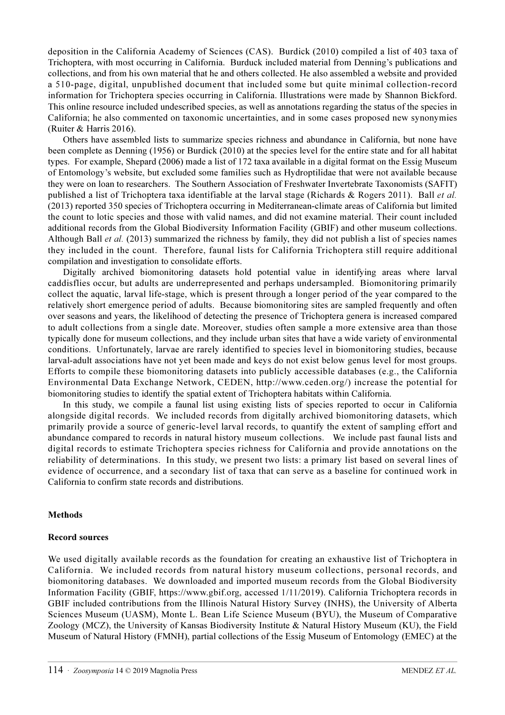deposition in the California Academy of Sciences (CAS). Burdick (2010) compiled a list of 403 taxa of Trichoptera, with most occurring in California. Burduck included material from Denning's publications and collections, and from his own material that he and others collected. He also assembled a website and provided a 510-page, digital, unpublished document that included some but quite minimal collection-record information for Trichoptera species occurring in California. Illustrations were made by Shannon Bickford. This online resource included undescribed species, as well as annotations regarding the status of the species in California; he also commented on taxonomic uncertainties, and in some cases proposed new synonymies (Ruiter & Harris 2016).

Others have assembled lists to summarize species richness and abundance in California, but none have been complete as Denning (1956) or Burdick (2010) at the species level for the entire state and for all habitat types. For example, Shepard (2006) made a list of 172 taxa available in a digital format on the Essig Museum of Entomology's website, but excluded some families such as Hydroptilidae that were not available because they were on loan to researchers. The Southern Association of Freshwater Invertebrate Taxonomists (SAFIT) published a list of Trichoptera taxa identifiable at the larval stage (Richards & Rogers 2011). Ball *et al.* (2013) reported 350 species of Trichoptera occurring in Mediterranean-climate areas of California but limited the count to lotic species and those with valid names, and did not examine material. Their count included additional records from the Global Biodiversity Information Facility (GBIF) and other museum collections. Although Ball *et al.* (2013) summarized the richness by family, they did not publish a list of species names they included in the count. Therefore, faunal lists for California Trichoptera still require additional compilation and investigation to consolidate efforts.

Digitally archived biomonitoring datasets hold potential value in identifying areas where larval caddisflies occur, but adults are underrepresented and perhaps undersampled. Biomonitoring primarily collect the aquatic, larval life-stage, which is present through a longer period of the year compared to the relatively short emergence period of adults. Because biomonitoring sites are sampled frequently and often over seasons and years, the likelihood of detecting the presence of Trichoptera genera is increased compared to adult collections from a single date. Moreover, studies often sample a more extensive area than those typically done for museum collections, and they include urban sites that have a wide variety of environmental conditions. Unfortunately, larvae are rarely identified to species level in biomonitoring studies, because larval-adult associations have not yet been made and keys do not exist below genus level for most groups. Efforts to compile these biomonitoring datasets into publicly accessible databases (e.g., the California Environmental Data Exchange Network, CEDEN, http://www.ceden.org/) increase the potential for biomonitoring studies to identify the spatial extent of Trichoptera habitats within California.

In this study, we compile a faunal list using existing lists of species reported to occur in California alongside digital records. We included records from digitally archived biomonitoring datasets, which primarily provide a source of generic-level larval records, to quantify the extent of sampling effort and abundance compared to records in natural history museum collections. We include past faunal lists and digital records to estimate Trichoptera species richness for California and provide annotations on the reliability of determinations. In this study, we present two lists: a primary list based on several lines of evidence of occurrence, and a secondary list of taxa that can serve as a baseline for continued work in California to confirm state records and distributions.

# Methods

# Record sources

We used digitally available records as the foundation for creating an exhaustive list of Trichoptera in California. We included records from natural history museum collections, personal records, and biomonitoring databases. We downloaded and imported museum records from the Global Biodiversity Information Facility (GBIF, <https://www.gbif.org>, accessed 1/11/2019). California Trichoptera records in GBIF included contributions from the Illinois Natural History Survey (INHS), the University of Alberta Sciences Museum (UASM), Monte L. Bean Life Science Museum (BYU), the Museum of Comparative Zoology (MCZ), the University of Kansas Biodiversity Institute & Natural History Museum (KU), the Field Museum of Natural History (FMNH), partial collections of the Essig Museum of Entomology (EMEC) at the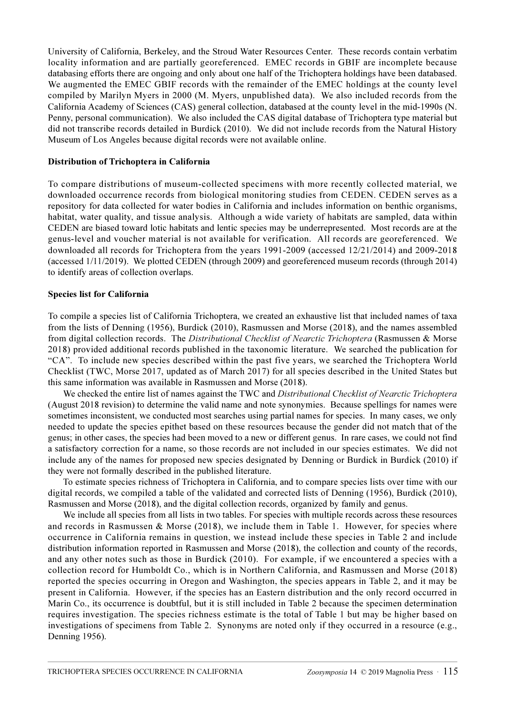University of California, Berkeley, and the Stroud Water Resources Center. These records contain verbatim locality information and are partially georeferenced. EMEC records in GBIF are incomplete because databasing efforts there are ongoing and only about one half of the Trichoptera holdings have been databased. We augmented the EMEC GBIF records with the remainder of the EMEC holdings at the county level compiled by Marilyn Myers in 2000 (M. Myers, unpublished data). We also included records from the California Academy of Sciences (CAS) general collection, databased at the county level in the mid-1990s (N. Penny, personal communication). We also included the CAS digital database of Trichoptera type material but did not transcribe records detailed in Burdick (2010). We did not include records from the Natural History Museum of Los Angeles because digital records were not available online.

### Distribution of Trichoptera in California

To compare distributions of museum-collected specimens with more recently collected material, we downloaded occurrence records from biological monitoring studies from CEDEN. CEDEN serves as a repository for data collected for water bodies in California and includes information on benthic organisms, habitat, water quality, and tissue analysis. Although a wide variety of habitats are sampled, data within CEDEN are biased toward lotic habitats and lentic species may be underrepresented. Most records are at the genus-level and voucher material is not available for verification. All records are georeferenced. We downloaded all records for Trichoptera from the years 1991-2009 (accessed 12/21/2014) and 2009-2018 (accessed 1/11/2019). We plotted CEDEN (through 2009) and georeferenced museum records (through 2014) to identify areas of collection overlaps.

### Species list for California

To compile a species list of California Trichoptera, we created an exhaustive list that included names of taxa from the lists of Denning (1956), Burdick (2010), Rasmussen and Morse (2018), and the names assembled from digital collection records. The Distributional Checklist of Nearctic Trichoptera (Rasmussen & Morse 2018) provided additional records published in the taxonomic literature. We searched the publication for "CA". To include new species described within the past five years, we searched the Trichoptera World Checklist (TWC, Morse 2017, updated as of March 2017) for all species described in the United States but this same information was available in Rasmussen and Morse (2018).

We checked the entire list of names against the TWC and Distributional Checklist of Nearctic Trichoptera (August 2018 revision) to determine the valid name and note synonymies. Because spellings for names were sometimes inconsistent, we conducted most searches using partial names for species. In many cases, we only needed to update the species epithet based on these resources because the gender did not match that of the genus; in other cases, the species had been moved to a new or different genus. In rare cases, we could not find a satisfactory correction for a name, so those records are not included in our species estimates. We did not include any of the names for proposed new species designated by Denning or Burdick in Burdick (2010) if they were not formally described in the published literature.

To estimate species richness of Trichoptera in California, and to compare species lists over time with our digital records, we compiled a table of the validated and corrected lists of Denning (1956), Burdick (2010), Rasmussen and Morse (2018), and the digital collection records, organized by family and genus.

We include all species from all lists in two tables. For species with multiple records across these resources and records in Rasmussen & Morse (2018), we include them in Table 1. However, for species where occurrence in California remains in question, we instead include these species in Table 2 and include distribution information reported in Rasmussen and Morse (2018), the collection and county of the records, and any other notes such as those in Burdick (2010). For example, if we encountered a species with a collection record for Humboldt Co., which is in Northern California, and Rasmussen and Morse (2018) reported the species occurring in Oregon and Washington, the species appears in Table 2, and it may be present in California. However, if the species has an Eastern distribution and the only record occurred in Marin Co., its occurrence is doubtful, but it is still included in Table 2 because the specimen determination requires investigation. The species richness estimate is the total of Table 1 but may be higher based on investigations of specimens from Table 2. Synonyms are noted only if they occurred in a resource (e.g., Denning 1956).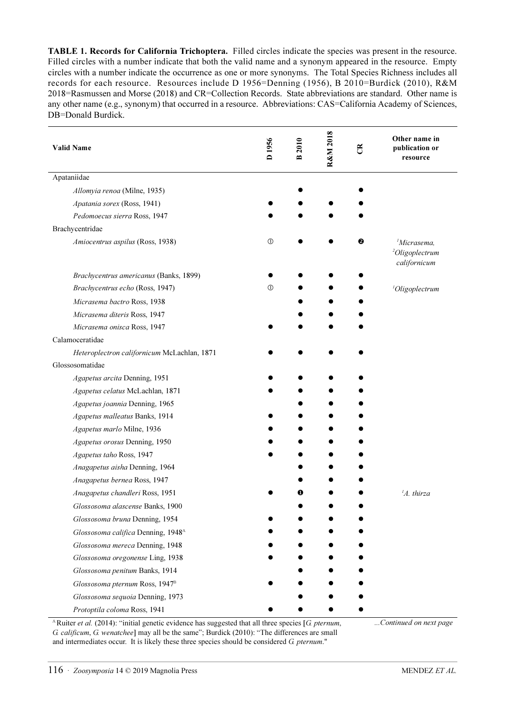TABLE 1. Records for California Trichoptera. Filled circles indicate the species was present in the resource. Filled circles with a number indicate that both the valid name and a synonym appeared in the resource. Empty circles with a number indicate the occurrence as one or more synonyms. The Total Species Richness includes all records for each resource. Resources include D 1956=Denning (1956), B 2010=Burdick (2010), R&M 2018=Rasmussen and Morse (2018) and CR=Collection Records. State abbreviations are standard. Other name is any other name (e.g., synonym) that occurred in a resource. Abbreviations: CAS=California Academy of Sciences, DB=Donald Burdick.

| Valid Name                                     | 1956<br>$\Box$ | <b>B2010</b> | <b>R&amp;M2018</b> | $\tilde{c}$ | Other name in<br>publication or<br>resource                           |
|------------------------------------------------|----------------|--------------|--------------------|-------------|-----------------------------------------------------------------------|
| Apataniidae                                    |                |              |                    |             |                                                                       |
| Allomyia renoa (Milne, 1935)                   |                |              |                    |             |                                                                       |
| Apatania sorex (Ross, 1941)                    |                |              |                    |             |                                                                       |
| Pedomoecus sierra Ross, 1947                   |                |              |                    |             |                                                                       |
| Brachycentridae                                |                |              |                    |             |                                                                       |
| Amiocentrus aspilus (Ross, 1938)               | $\odot$        |              |                    | ❷           | <sup>1</sup> Micrasema,<br><sup>2</sup> Oligoplectrum<br>californicum |
| Brachycentrus americanus (Banks, 1899)         |                |              |                    |             |                                                                       |
| Brachycentrus echo (Ross, 1947)                | $^\circledR$   |              |                    |             | <sup>1</sup> Oligoplectrum                                            |
| Micrasema bactro Ross, 1938                    |                |              |                    |             |                                                                       |
| Micrasema diteris Ross, 1947                   |                |              |                    |             |                                                                       |
| Micrasema onisca Ross, 1947                    |                |              |                    |             |                                                                       |
| Calamoceratidae                                |                |              |                    |             |                                                                       |
| Heteroplectron californicum McLachlan, 1871    |                |              |                    |             |                                                                       |
| Glossosomatidae                                |                |              |                    |             |                                                                       |
| Agapetus arcita Denning, 1951                  |                |              |                    |             |                                                                       |
| Agapetus celatus McLachlan, 1871               |                |              |                    |             |                                                                       |
| Agapetus joannia Denning, 1965                 |                |              |                    |             |                                                                       |
| Agapetus malleatus Banks, 1914                 |                |              |                    |             |                                                                       |
| Agapetus marlo Milne, 1936                     |                |              |                    |             |                                                                       |
| Agapetus orosus Denning, 1950                  |                |              |                    |             |                                                                       |
| Agapetus taho Ross, 1947                       |                |              |                    |             |                                                                       |
| Anagapetus aisha Denning, 1964                 |                |              |                    |             |                                                                       |
| Anagapetus bernea Ross, 1947                   |                |              |                    |             |                                                                       |
| Anagapetus chandleri Ross, 1951                |                |              |                    |             | $A$ . thirza                                                          |
| Glossosoma alascense Banks, 1900               |                |              |                    |             |                                                                       |
| Glossosoma bruna Denning, 1954                 |                |              |                    |             |                                                                       |
| Glossosoma califica Denning, 1948 <sup>A</sup> |                |              |                    |             |                                                                       |
| Glossosoma mereca Denning, 1948                |                |              |                    |             |                                                                       |
| Glossosoma oregonense Ling, 1938               |                |              |                    |             |                                                                       |
| Glossosoma penitum Banks, 1914                 |                |              |                    |             |                                                                       |
| Glossosoma pternum Ross, 1947 <sup>B</sup>     |                |              |                    |             |                                                                       |
| Glossosoma sequoia Denning, 1973               |                |              |                    |             |                                                                       |
| Protoptila coloma Ross, 1941                   |                |              |                    |             |                                                                       |

 $^{\text{A}}$ Ruiter *et al.* (2014): "initial genetic evidence has suggested that all three species [*G. pternum*, G. calificum, G. wenatchee] may all be the same"; Burdick (2010): "The differences are small and intermediates occur. It is likely these three species should be considered G. pternum."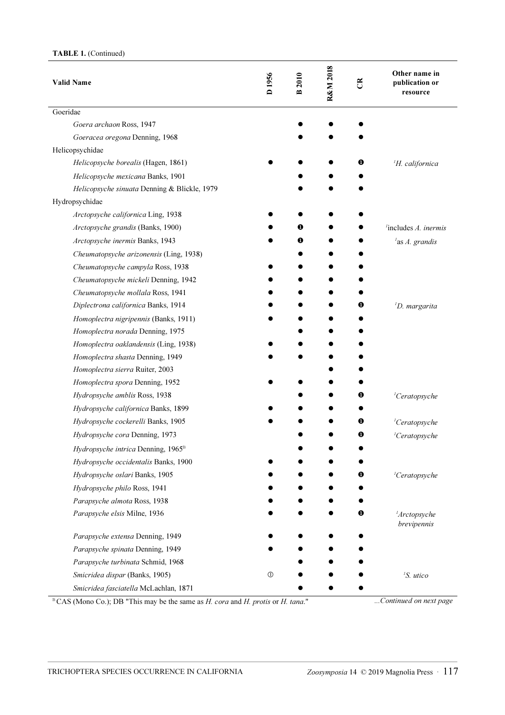| <b>Valid Name</b>                              | 1956<br>$\blacksquare$ | 2010<br>$\mathbf{\Omega}$ | <b>R&amp;M 2018</b> | $\mathfrak{B}$ | Other name in<br>publication or<br>resource |
|------------------------------------------------|------------------------|---------------------------|---------------------|----------------|---------------------------------------------|
| Goeridae                                       |                        |                           |                     |                |                                             |
| Goera archaon Ross, 1947                       |                        |                           |                     |                |                                             |
| Goeracea oregona Denning, 1968                 |                        |                           |                     |                |                                             |
| Helicopsychidae                                |                        |                           |                     |                |                                             |
| Helicopsyche borealis (Hagen, 1861)            |                        |                           |                     | ❶              | <sup>1</sup> H. californica                 |
| Helicopsyche mexicana Banks, 1901              |                        |                           |                     |                |                                             |
| Helicopsyche sinuata Denning & Blickle, 1979   |                        |                           |                     |                |                                             |
| Hydropsychidae                                 |                        |                           |                     |                |                                             |
| Arctopsyche californica Ling, 1938             |                        |                           |                     |                |                                             |
| Arctopsyche grandis (Banks, 1900)              |                        | o                         |                     |                | $l$ includes A. <i>inermis</i>              |
| Arctopsyche inermis Banks, 1943                |                        | O                         |                     |                | $\int$ as A. grandis                        |
| Cheumatopsyche arizonensis (Ling, 1938)        |                        |                           |                     |                |                                             |
| Cheumatopsyche campyla Ross, 1938              |                        |                           |                     |                |                                             |
| Cheumatopsyche mickeli Denning, 1942           |                        |                           |                     |                |                                             |
| Cheumatopsyche mollala Ross, 1941              |                        |                           |                     |                |                                             |
| Diplectrona californica Banks, 1914            |                        |                           |                     | O              | $D.$ margarita                              |
| Homoplectra nigripennis (Banks, 1911)          |                        |                           |                     |                |                                             |
| Homoplectra norada Denning, 1975               |                        |                           |                     |                |                                             |
| Homoplectra oaklandensis (Ling, 1938)          |                        |                           |                     |                |                                             |
| Homoplectra shasta Denning, 1949               |                        |                           |                     |                |                                             |
| Homoplectra sierra Ruiter, 2003                |                        |                           |                     |                |                                             |
| Homoplectra spora Denning, 1952                |                        |                           |                     |                |                                             |
| Hydropsyche amblis Ross, 1938                  |                        |                           |                     | o              | <sup>1</sup> Ceratopsyche                   |
| Hydropsyche californica Banks, 1899            |                        |                           |                     |                |                                             |
| Hydropsyche cockerelli Banks, 1905             |                        |                           |                     | o              | <sup>1</sup> Ceratopsyche                   |
| Hydropsyche cora Denning, 1973                 |                        |                           |                     | o              | <sup>1</sup> Ceratopsyche                   |
| Hydropsyche intrica Denning, 1965 <sup>B</sup> |                        |                           |                     |                |                                             |
| Hydropsyche occidentalis Banks, 1900           |                        |                           |                     |                |                                             |
| Hydropsyche oslari Banks, 1905                 |                        |                           |                     | o              | <sup>1</sup> Ceratopsyche                   |
| Hydropsyche philo Ross, 1941                   |                        |                           |                     |                |                                             |
| Parapsyche almota Ross, 1938                   |                        |                           |                     |                |                                             |
| Parapsyche elsis Milne, 1936                   |                        |                           |                     | o              | <sup>1</sup> Arctopsyche<br>brevipennis     |
| Parapsyche extensa Denning, 1949               |                        |                           |                     |                |                                             |
| Parapsyche spinata Denning, 1949               |                        |                           |                     |                |                                             |
| Parapsyche turbinata Schmid, 1968              |                        |                           |                     |                |                                             |
| Smicridea dispar (Banks, 1905)                 | $\circledcirc$         |                           |                     |                | <sup>1</sup> S. utico                       |
| Smicridea fasciatella McLachlan, 1871          |                        |                           |                     |                |                                             |

 $B<sub>B</sub> CAS (Mono Co.); DB "This may be the same as H. cora and H. protis or H. tana." ...Continued on next page$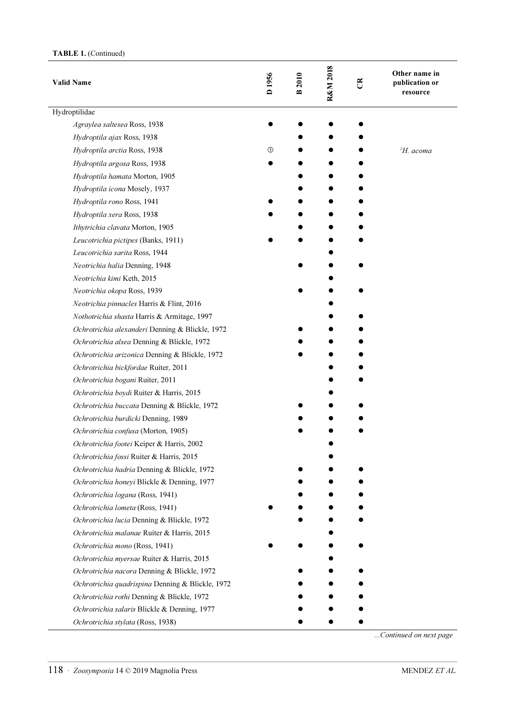| Valid Name                                       | 1956<br>$\Box$ | <b>B2010</b> | R&M 2018 | $\mathfrak{B}$ | Other name in<br>publication or<br>resource |
|--------------------------------------------------|----------------|--------------|----------|----------------|---------------------------------------------|
| Hydroptilidae                                    |                |              |          |                |                                             |
| Agraylea saltesea Ross, 1938                     |                |              |          |                |                                             |
| Hydroptila ajax Ross, 1938                       |                |              |          |                |                                             |
| Hydroptila arctia Ross, 1938                     | $^{\circ}$     |              |          |                | $H$ . acoma                                 |
| Hydroptila argosa Ross, 1938                     |                |              |          |                |                                             |
| Hydroptila hamata Morton, 1905                   |                |              |          |                |                                             |
| Hydroptila icona Mosely, 1937                    |                |              |          |                |                                             |
| Hydroptila rono Ross, 1941                       |                |              |          |                |                                             |
| Hydroptila xera Ross, 1938                       |                |              |          |                |                                             |
| Ithytrichia clavata Morton, 1905                 |                |              |          |                |                                             |
| Leucotrichia pictipes (Banks, 1911)              |                |              |          |                |                                             |
| Leucotrichia sarita Ross, 1944                   |                |              |          |                |                                             |
| Neotrichia halia Denning, 1948                   |                |              |          |                |                                             |
| Neotrichia kimi Keth, 2015                       |                |              |          |                |                                             |
| Neotrichia okopa Ross, 1939                      |                |              |          |                |                                             |
| Neotrichia pinnacles Harris & Flint, 2016        |                |              |          |                |                                             |
| Nothotrichia shasta Harris & Armitage, 1997      |                |              |          |                |                                             |
| Ochrotrichia alexanderi Denning & Blickle, 1972  |                |              |          |                |                                             |
| Ochrotrichia alsea Denning & Blickle, 1972       |                |              |          |                |                                             |
| Ochrotrichia arizonica Denning & Blickle, 1972   |                |              |          |                |                                             |
| Ochrotrichia bickfordae Ruiter, 2011             |                |              |          |                |                                             |
| Ochrotrichia bogani Ruiter, 2011                 |                |              |          |                |                                             |
| Ochrotrichia boydi Ruiter & Harris, 2015         |                |              |          |                |                                             |
| Ochrotrichia buccata Denning & Blickle, 1972     |                |              |          |                |                                             |
| Ochrotrichia burdicki Denning, 1989              |                |              |          |                |                                             |
| Ochrotrichia confusa (Morton, 1905)              |                |              |          |                |                                             |
| Ochrotrichia footei Keiper & Harris, 2002        |                |              |          |                |                                             |
| Ochrotrichia fossi Ruiter & Harris, 2015         |                |              |          |                |                                             |
| Ochrotrichia hadria Denning & Blickle, 1972      |                |              |          |                |                                             |
| Ochrotrichia honeyi Blickle & Denning, 1977      |                |              |          |                |                                             |
| Ochrotrichia logana (Ross, 1941)                 |                |              |          |                |                                             |
| Ochrotrichia lometa (Ross, 1941)                 |                |              |          |                |                                             |
| Ochrotrichia lucia Denning & Blickle, 1972       |                |              |          |                |                                             |
| Ochrotrichia malanae Ruiter & Harris, 2015       |                |              |          |                |                                             |
| Ochrotrichia mono (Ross, 1941)                   |                |              |          |                |                                             |
| Ochrotrichia myersae Ruiter & Harris, 2015       |                |              |          |                |                                             |
| Ochrotrichia nacora Denning & Blickle, 1972      |                |              |          |                |                                             |
| Ochrotrichia quadrispina Denning & Blickle, 1972 |                |              |          |                |                                             |
| Ochrotrichia rothi Denning & Blickle, 1972       |                |              |          |                |                                             |
| Ochrotrichia salaris Blickle & Denning, 1977     |                |              |          |                |                                             |
| Ochrotrichia stylata (Ross, 1938)                |                |              |          |                |                                             |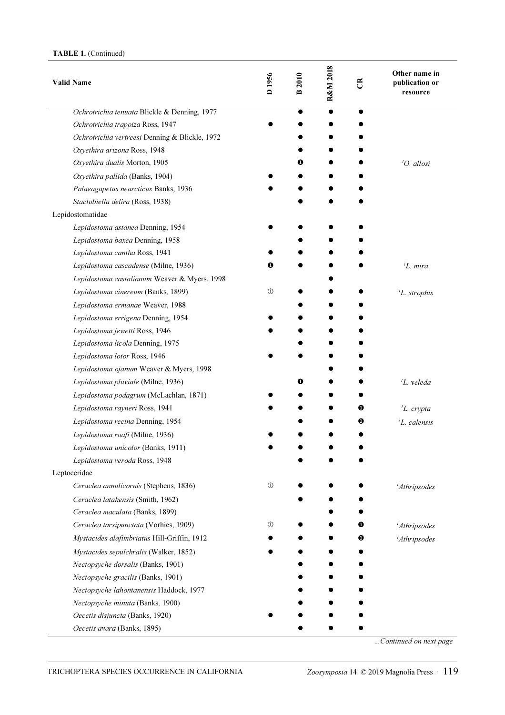| <b>Valid Name</b>                              | 1956<br>$\Delta$ | <b>B2010</b> | <b>R&amp;M 2018</b> | $\mathfrak{B}$ | Other name in<br>publication or<br>resource |
|------------------------------------------------|------------------|--------------|---------------------|----------------|---------------------------------------------|
| Ochrotrichia tenuata Blickle & Denning, 1977   |                  |              | $\bullet$           |                |                                             |
| Ochrotrichia trapoiza Ross, 1947               |                  |              |                     |                |                                             |
| Ochrotrichia vertreesi Denning & Blickle, 1972 |                  |              |                     |                |                                             |
| Oxyethira arizona Ross, 1948                   |                  |              |                     |                |                                             |
| Oxyethira dualis Morton, 1905                  |                  |              |                     |                | $^{1}$ O. allosi                            |
| Oxyethira pallida (Banks, 1904)                |                  |              |                     |                |                                             |
| Palaeagapetus nearcticus Banks, 1936           |                  |              |                     |                |                                             |
| Stactobiella delira (Ross, 1938)               |                  |              |                     |                |                                             |
| Lepidostomatidae                               |                  |              |                     |                |                                             |
| Lepidostoma astanea Denning, 1954              |                  |              |                     |                |                                             |
| Lepidostoma baxea Denning, 1958                |                  |              |                     |                |                                             |
| Lepidostoma cantha Ross, 1941                  |                  |              |                     |                |                                             |
| Lepidostoma cascadense (Milne, 1936)           |                  |              |                     |                | $^{\prime}$ L. mira                         |
| Lepidostoma castalianum Weaver & Myers, 1998   |                  |              |                     |                |                                             |
| Lepidostoma cinereum (Banks, 1899)             | $\odot$          |              |                     |                | $L$ . strophis                              |
| Lepidostoma ermanae Weaver, 1988               |                  |              |                     |                |                                             |
| Lepidostoma errigena Denning, 1954             |                  |              |                     |                |                                             |
| Lepidostoma jewetti Ross, 1946                 |                  |              |                     |                |                                             |
| Lepidostoma licola Denning, 1975               |                  |              |                     |                |                                             |
| Lepidostoma lotor Ross, 1946                   |                  |              |                     |                |                                             |
| Lepidostoma ojanum Weaver & Myers, 1998        |                  |              |                     |                |                                             |
| Lepidostoma pluviale (Milne, 1936)             |                  | ❶            |                     |                | <sup>1</sup> L. veleda                      |
| Lepidostoma podagrum (McLachlan, 1871)         |                  |              |                     |                |                                             |
| Lepidostoma rayneri Ross, 1941                 |                  |              |                     | o              | $^l$ L. crypta                              |
| Lepidostoma recina Denning, 1954               |                  |              |                     | o              | $L$ . calensis                              |
| Lepidostoma roafi (Milne, 1936)                |                  |              |                     |                |                                             |
| Lepidostoma unicolor (Banks, 1911)             |                  |              |                     |                |                                             |
| Lepidostoma veroda Ross, 1948                  |                  |              |                     |                |                                             |
| Leptoceridae                                   |                  |              |                     |                |                                             |
| Ceraclea annulicornis (Stephens, 1836)         | $\circledcirc$   |              |                     |                | <sup>1</sup> Athripsodes                    |
| Ceraclea latahensis (Smith, 1962)              |                  |              |                     |                |                                             |
| Ceraclea maculata (Banks, 1899)                |                  |              |                     |                |                                             |
| Ceraclea tarsipunctata (Vorhies, 1909)         | ➀                |              |                     | o              | <sup>1</sup> Athripsodes                    |
| Mystacides alafimbriatus Hill-Griffin, 1912    |                  |              |                     | O              | <sup>1</sup> Athripsodes                    |
| Mystacides sepulchralis (Walker, 1852)         |                  |              |                     |                |                                             |
| Nectopsyche dorsalis (Banks, 1901)             |                  |              |                     |                |                                             |
| Nectopsyche gracilis (Banks, 1901)             |                  |              |                     |                |                                             |
| Nectopsyche lahontanensis Haddock, 1977        |                  |              |                     |                |                                             |
| Nectopsyche minuta (Banks, 1900)               |                  |              |                     |                |                                             |
| Oecetis disjuncta (Banks, 1920)                |                  |              |                     |                |                                             |
| Oecetis avara (Banks, 1895)                    |                  |              |                     |                |                                             |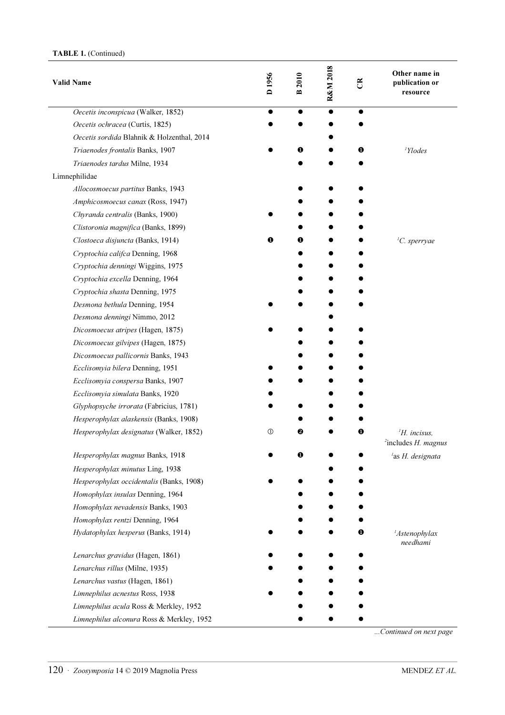| Valid Name                                 | 1956<br>$\Box$ | <b>B2010</b> | <b>R&amp;M 2018</b> | $\mathfrak{B}$ | Other name in<br>publication or<br>resource                 |
|--------------------------------------------|----------------|--------------|---------------------|----------------|-------------------------------------------------------------|
| Oecetis inconspicua (Walker, 1852)         | $\bullet$      | $\bullet$    | $\bullet$           |                |                                                             |
| Oecetis ochracea (Curtis, 1825)            |                |              |                     |                |                                                             |
| Oecetis sordida Blahnik & Holzenthal, 2014 |                |              |                     |                |                                                             |
| Triaenodes frontalis Banks, 1907           |                | o            |                     | ❶              | $1Ylodes$                                                   |
| Triaenodes tardus Milne, 1934              |                |              |                     |                |                                                             |
| Limnephilidae                              |                |              |                     |                |                                                             |
| Allocosmoecus partitus Banks, 1943         |                |              |                     |                |                                                             |
| Amphicosmoecus canax (Ross, 1947)          |                |              |                     |                |                                                             |
| Chyranda centralis (Banks, 1900)           |                |              |                     |                |                                                             |
| Clistoronia magnifica (Banks, 1899)        |                |              |                     |                |                                                             |
| Clostoeca disjuncta (Banks, 1914)          | $\bf o$        | o            |                     |                | <sup>1</sup> C. sperryae                                    |
| Cryptochia califca Denning, 1968           |                |              |                     |                |                                                             |
| Cryptochia denningi Wiggins, 1975          |                |              |                     |                |                                                             |
| Cryptochia excella Denning, 1964           |                |              |                     |                |                                                             |
| Cryptochia shasta Denning, 1975            |                |              |                     |                |                                                             |
| Desmona bethula Denning, 1954              |                |              |                     |                |                                                             |
| Desmona denningi Nimmo, 2012               |                |              |                     |                |                                                             |
| Dicosmoecus atripes (Hagen, 1875)          |                |              |                     |                |                                                             |
| Dicosmoecus gilvipes (Hagen, 1875)         |                |              |                     |                |                                                             |
| Dicosmoecus pallicornis Banks, 1943        |                |              |                     |                |                                                             |
| Ecclisomyia bilera Denning, 1951           |                |              |                     |                |                                                             |
| Ecclisomyia conspersa Banks, 1907          |                |              |                     |                |                                                             |
| Ecclisomyia simulata Banks, 1920           |                |              |                     |                |                                                             |
| Glyphopsyche irrorata (Fabricius, 1781)    |                |              |                     |                |                                                             |
| Hesperophylax alaskensis (Banks, 1908)     |                |              |                     |                |                                                             |
| Hesperophylax designatus (Walker, 1852)    | $^\circledR$   | ❷            |                     | o              | $H$ . incisus,<br><sup>2</sup> includes $H$ . <i>magnus</i> |
| Hesperophylax magnus Banks, 1918           |                | o            |                     |                | $\frac{1}{2}$ as H. designata                               |
| Hesperophylax minutus Ling, 1938           |                |              |                     |                |                                                             |
| Hesperophylax occidentalis (Banks, 1908)   |                |              |                     |                |                                                             |
| Homophylax insulas Denning, 1964           |                |              |                     |                |                                                             |
| Homophylax nevadensis Banks, 1903          |                |              |                     |                |                                                             |
| Homophylax rentzi Denning, 1964            |                |              |                     |                |                                                             |
| Hydatophylax hesperus (Banks, 1914)        |                |              |                     | o              | <sup>1</sup> Astenophylax<br>needhami                       |
| Lenarchus gravidus (Hagen, 1861)           |                |              |                     |                |                                                             |
| Lenarchus rillus (Milne, 1935)             |                |              |                     |                |                                                             |
| Lenarchus vastus (Hagen, 1861)             |                |              |                     |                |                                                             |
| Limnephilus acnestus Ross, 1938            |                |              |                     |                |                                                             |
| Limnephilus acula Ross & Merkley, 1952     |                |              |                     |                |                                                             |
| Limnephilus alconura Ross & Merkley, 1952  |                |              |                     |                |                                                             |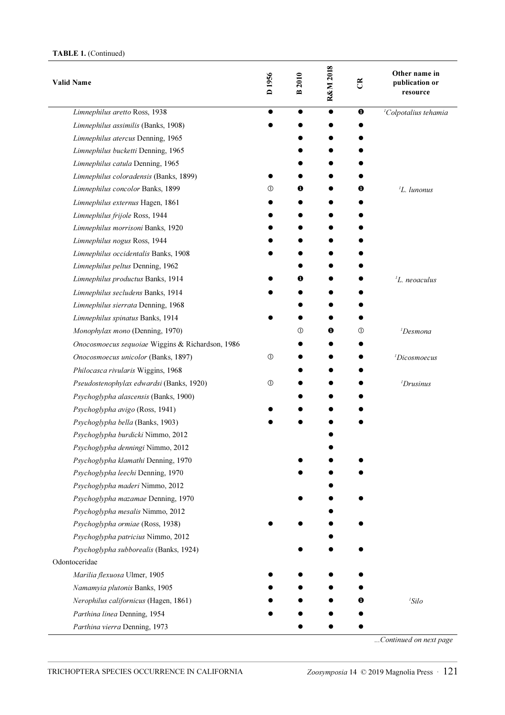| <b>Valid Name</b>                                | 1956<br>$\blacksquare$ | 2010<br>$\mathbf{r}$ | <b>R&amp;M 2018</b> | $\mathfrak{B}$ | Other name in<br>publication or<br>resource |
|--------------------------------------------------|------------------------|----------------------|---------------------|----------------|---------------------------------------------|
| Limnephilus aretto Ross, 1938                    |                        |                      | ●                   | ❶              | <sup>1</sup> Colpotalius tehamia            |
| Limnephilus assimilis (Banks, 1908)              |                        |                      |                     |                |                                             |
| Limnephilus atercus Denning, 1965                |                        |                      |                     |                |                                             |
| Limnephilus bucketti Denning, 1965               |                        |                      |                     |                |                                             |
| Limnephilus catula Denning, 1965                 |                        |                      |                     |                |                                             |
| Limnephilus coloradensis (Banks, 1899)           |                        |                      |                     |                |                                             |
| Limnephilus concolor Banks, 1899                 | $\circ$                | O                    |                     |                | $'L$ . lunonus                              |
| Limnephilus externus Hagen, 1861                 |                        |                      |                     |                |                                             |
| Limnephilus frijole Ross, 1944                   |                        |                      |                     |                |                                             |
| Limnephilus morrisoni Banks, 1920                |                        |                      |                     |                |                                             |
| Limnephilus nogus Ross, 1944                     |                        |                      |                     |                |                                             |
| Limnephilus occidentalis Banks, 1908             |                        |                      |                     |                |                                             |
| Limnephilus peltus Denning, 1962                 |                        |                      |                     |                |                                             |
| Limnephilus productus Banks, 1914                |                        |                      |                     |                | $L$ neoaculus                               |
| Limnephilus secludens Banks, 1914                |                        |                      |                     |                |                                             |
| Limnephilus sierrata Denning, 1968               |                        |                      |                     |                |                                             |
| Limnephilus spinatus Banks, 1914                 |                        |                      |                     |                |                                             |
| Monophylax mono (Denning, 1970)                  |                        | $^{\circ}$           | o                   | ➀              | <sup>1</sup> Desmona                        |
| Onocosmoecus sequoiae Wiggins & Richardson, 1986 |                        |                      |                     |                |                                             |
| Onocosmoecus unicolor (Banks, 1897)              | $\circledcirc$         |                      |                     |                | <sup>1</sup> Dicosmoecus                    |
| Philocasca rivularis Wiggins, 1968               |                        |                      |                     |                |                                             |
| Pseudostenophylax edwardsi (Banks, 1920)         | $\odot$                |                      |                     |                | <sup>1</sup> Drusinus                       |
| Psychoglypha alascensis (Banks, 1900)            |                        |                      |                     |                |                                             |
| Psychoglypha avigo (Ross, 1941)                  |                        |                      |                     |                |                                             |
| Psychoglypha bella (Banks, 1903)                 |                        |                      |                     |                |                                             |
| Psychoglypha burdicki Nimmo, 2012                |                        |                      |                     |                |                                             |
| Psychoglypha denningi Nimmo, 2012                |                        |                      |                     |                |                                             |
| Psychoglypha klamathi Denning, 1970              |                        |                      |                     |                |                                             |
| Psychoglypha leechi Denning, 1970                |                        |                      |                     |                |                                             |
| Psychoglypha maderi Nimmo, 2012                  |                        |                      |                     |                |                                             |
| Psychoglypha mazamae Denning, 1970               |                        |                      |                     |                |                                             |
| Psychoglypha mesalis Nimmo, 2012                 |                        |                      |                     |                |                                             |
| Psychoglypha ormiae (Ross, 1938)                 |                        |                      |                     |                |                                             |
| Psychoglypha patricius Nimmo, 2012               |                        |                      |                     |                |                                             |
| Psychoglypha subborealis (Banks, 1924)           |                        |                      |                     |                |                                             |
| Odontoceridae                                    |                        |                      |                     |                |                                             |
| Marilia flexuosa Ulmer, 1905                     |                        |                      |                     |                |                                             |
| Namamyia plutonis Banks, 1905                    |                        |                      |                     |                |                                             |
| Nerophilus californicus (Hagen, 1861)            |                        |                      |                     |                | <sup>1</sup> Silo                           |
| Parthina linea Denning, 1954                     |                        |                      |                     |                |                                             |
| Parthina vierra Denning, 1973                    |                        |                      |                     |                |                                             |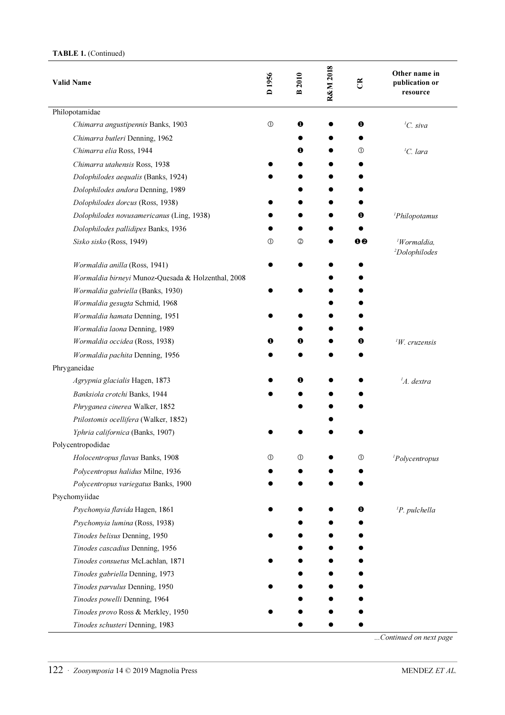| Valid Name                                         | D <sub>1956</sub> | <b>B2010</b> | R&M 2018 | $\tilde{c}$  | Other name in<br>publication or<br>resource          |
|----------------------------------------------------|-------------------|--------------|----------|--------------|------------------------------------------------------|
| Philopotamidae                                     |                   |              |          |              |                                                      |
| Chimarra angustipennis Banks, 1903                 | $\circled{0}$     | o            |          | ❶            | ${}^{1}C.$ siva                                      |
| Chimarra butleri Denning, 1962                     |                   |              |          |              |                                                      |
| Chimarra elia Ross, 1944                           |                   | o            |          | ➀            | ${}^{1}C.$ lara                                      |
| Chimarra utahensis Ross, 1938                      |                   |              |          |              |                                                      |
| Dolophilodes aequalis (Banks, 1924)                |                   |              |          |              |                                                      |
| Dolophilodes andora Denning, 1989                  |                   |              |          |              |                                                      |
| Dolophilodes dorcus (Ross, 1938)                   |                   |              |          |              |                                                      |
| Dolophilodes novusamericanus (Ling, 1938)          |                   |              |          | ❶            | <sup>1</sup> Philopotamus                            |
| Dolophilodes pallidipes Banks, 1936                |                   |              |          |              |                                                      |
| Sisko sisko (Ross, 1949)                           | $^\circledR$      | ➁            |          | 00           | <sup>1</sup> Wormaldia,<br><sup>2</sup> Dolophilodes |
| Wormaldia anilla (Ross, 1941)                      |                   |              |          |              |                                                      |
| Wormaldia birneyi Munoz-Quesada & Holzenthal, 2008 |                   |              |          |              |                                                      |
| Wormaldia gabriella (Banks, 1930)                  |                   |              |          |              |                                                      |
| Wormaldia gesugta Schmid, 1968                     |                   |              |          |              |                                                      |
| Wormaldia hamata Denning, 1951                     |                   |              |          |              |                                                      |
| Wormaldia laona Denning, 1989                      |                   |              |          |              |                                                      |
| Wormaldia occidea (Ross, 1938)                     | o                 | o            |          | o            | $W$ . cruzensis                                      |
| Wormaldia pachita Denning, 1956                    |                   |              |          |              |                                                      |
| Phryganeidae                                       |                   |              |          |              |                                                      |
| Agrypnia glacialis Hagen, 1873                     |                   |              |          |              | $A$ . dextra                                         |
| Banksiola crotchi Banks, 1944                      |                   |              |          |              |                                                      |
| Phryganea cinerea Walker, 1852                     |                   |              |          |              |                                                      |
| Ptilostomis ocellifera (Walker, 1852)              |                   |              |          |              |                                                      |
| Yphria californica (Banks, 1907)                   |                   |              |          |              |                                                      |
| Polycentropodidae                                  |                   |              |          |              |                                                      |
| Holocentropus flavus Banks, 1908                   | ന                 | (T)          |          | $^\circledR$ | <sup>1</sup> Polycentropus                           |
| Polycentropus halidus Milne, 1936                  |                   |              |          |              |                                                      |
| Polycentropus variegatus Banks, 1900               |                   |              |          |              |                                                      |
| Psychomyiidae                                      |                   |              |          |              |                                                      |
| Psychomyia flavida Hagen, 1861                     |                   |              |          | o            | ${}^{1}P.$ pulchella                                 |
| Psychomyia lumina (Ross, 1938)                     |                   |              |          |              |                                                      |
| Tinodes belisus Denning, 1950                      |                   |              |          |              |                                                      |
| Tinodes cascadius Denning, 1956                    |                   |              |          |              |                                                      |
| Tinodes consuetus McLachlan, 1871                  |                   |              |          |              |                                                      |
| Tinodes gabriella Denning, 1973                    |                   |              |          |              |                                                      |
| Tinodes parvulus Denning, 1950                     |                   |              |          |              |                                                      |
| Tinodes powelli Denning, 1964                      |                   |              |          |              |                                                      |
| Tinodes provo Ross & Merkley, 1950                 |                   |              |          |              |                                                      |
| Tinodes schusteri Denning, 1983                    |                   |              |          |              |                                                      |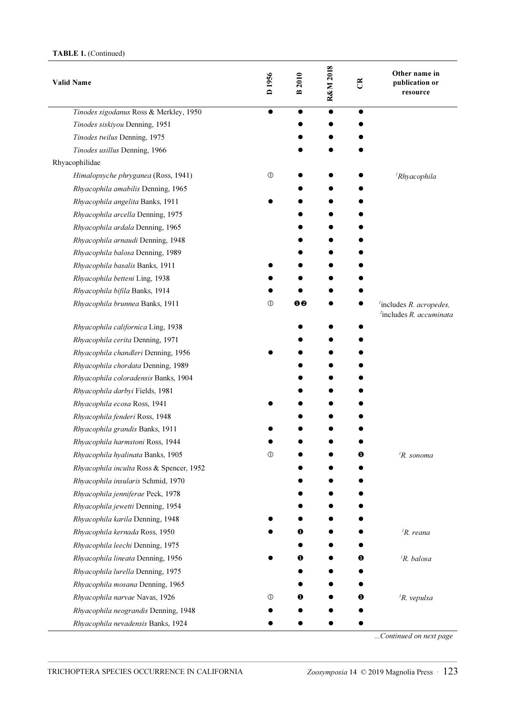| <b>Valid Name</b>                        | 1956<br>$\Box$ | <b>B2010</b> | <b>R&amp;M 2018</b> | $\mathfrak{B}$ | Other name in<br>publication or<br>resource                    |
|------------------------------------------|----------------|--------------|---------------------|----------------|----------------------------------------------------------------|
| Tinodes sigodanus Ross & Merkley, 1950   | $\bullet$      |              | 0                   |                |                                                                |
| Tinodes siskiyou Denning, 1951           |                |              |                     |                |                                                                |
| Tinodes twilus Denning, 1975             |                |              |                     |                |                                                                |
| Tinodes usillus Denning, 1966            |                |              |                     |                |                                                                |
| Rhyacophilidae                           |                |              |                     |                |                                                                |
| Himalopsyche phryganea (Ross, 1941)      | $^\circledR$   |              |                     |                | <sup>1</sup> Rhyacophila                                       |
| Rhyacophila amabilis Denning, 1965       |                |              |                     |                |                                                                |
| Rhyacophila angelita Banks, 1911         |                |              |                     |                |                                                                |
| Rhyacophila arcella Denning, 1975        |                |              |                     |                |                                                                |
| Rhyacophila ardala Denning, 1965         |                |              |                     |                |                                                                |
| Rhyacophila arnaudi Denning, 1948        |                |              |                     |                |                                                                |
| Rhyacophila balosa Denning, 1989         |                |              |                     |                |                                                                |
| Rhyacophila basalis Banks, 1911          |                |              |                     |                |                                                                |
| Rhyacophila betteni Ling, 1938           |                |              |                     |                |                                                                |
| Rhyacophila bifila Banks, 1914           |                |              |                     |                |                                                                |
| Rhyacophila brunnea Banks, 1911          | $\odot$        | 00           |                     |                | 'includes R. acropedes,<br><sup>2</sup> includes R. accuminata |
| Rhyacophila californica Ling, 1938       |                |              |                     |                |                                                                |
| Rhyacophila cerita Denning, 1971         |                |              |                     |                |                                                                |
| Rhyacophila chandleri Denning, 1956      |                |              |                     |                |                                                                |
| Rhyacophila chordata Denning, 1989       |                |              |                     |                |                                                                |
| Rhyacophila coloradensis Banks, 1904     |                |              |                     |                |                                                                |
| Rhyacophila darbyi Fields, 1981          |                |              |                     |                |                                                                |
| Rhyacophila ecosa Ross, 1941             |                |              |                     |                |                                                                |
| Rhyacophila fenderi Ross, 1948           |                |              |                     |                |                                                                |
| Rhyacophila grandis Banks, 1911          |                |              |                     |                |                                                                |
| Rhyacophila harmstoni Ross, 1944         |                |              |                     |                |                                                                |
| Rhyacophila hyalinata Banks, 1905        | $\odot$        |              |                     | ❶              | ${}^{1}R$ . sonoma                                             |
| Rhyacophila inculta Ross & Spencer, 1952 |                |              |                     |                |                                                                |
| Rhyacophila insularis Schmid, 1970       |                |              |                     |                |                                                                |
| Rhyacophila jenniferae Peck, 1978        |                |              |                     |                |                                                                |
| Rhyacophila jewetti Denning, 1954        |                |              |                     |                |                                                                |
| Rhyacophila karila Denning, 1948         |                |              |                     |                |                                                                |
| Rhyacophila kernada Ross, 1950           |                | o            |                     |                | ${}^{1}R.$ reana                                               |
| Rhyacophila leechi Denning, 1975         |                |              |                     |                |                                                                |
| Rhyacophila lineata Denning, 1956        |                | O            |                     | O              | ${}^{1}R.$ balosa                                              |
| Rhyacophila lurella Denning, 1975        |                |              |                     |                |                                                                |
| Rhyacophila mosana Denning, 1965         |                |              |                     |                |                                                                |
| Rhyacophila narvae Navas, 1926           | ➀              | o            |                     | O              | ${}^{1}R.$ vepulsa                                             |
| Rhyacophila neograndis Denning, 1948     |                |              |                     |                |                                                                |
| Rhyacophila nevadensis Banks, 1924       |                |              |                     |                |                                                                |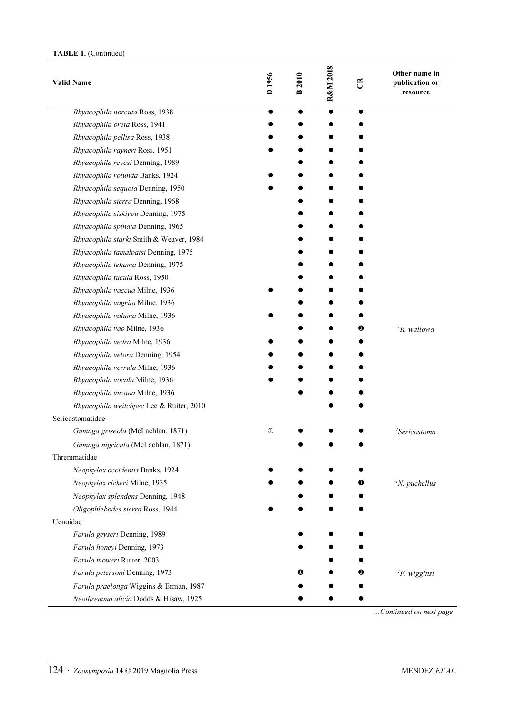| <b>Valid Name</b>                        | 1956<br>$\blacksquare$ | <b>B2010</b> | <b>R&amp;M 2018</b> | $\mathbb{R}$ | Other name in<br>publication or<br>resource |
|------------------------------------------|------------------------|--------------|---------------------|--------------|---------------------------------------------|
| Rhyacophila norcuta Ross, 1938           |                        |              | e                   |              |                                             |
| Rhyacophila oreta Ross, 1941             |                        |              |                     |              |                                             |
| Rhyacophila pellisa Ross, 1938           |                        |              |                     |              |                                             |
| Rhyacophila rayneri Ross, 1951           |                        |              |                     |              |                                             |
| Rhyacophila reyesi Denning, 1989         |                        |              |                     |              |                                             |
| Rhyacophila rotunda Banks, 1924          |                        |              |                     |              |                                             |
| Rhyacophila sequoia Denning, 1950        |                        |              |                     |              |                                             |
| Rhyacophila sierra Denning, 1968         |                        |              |                     |              |                                             |
| Rhyacophila siskiyou Denning, 1975       |                        |              |                     |              |                                             |
| Rhyacophila spinata Denning, 1965        |                        |              |                     |              |                                             |
| Rhyacophila starki Smith & Weaver, 1984  |                        |              |                     |              |                                             |
| Rhyacophila tamalpaisi Denning, 1975     |                        |              |                     |              |                                             |
| Rhyacophila tehama Denning, 1975         |                        |              |                     |              |                                             |
| Rhyacophila tucula Ross, 1950            |                        |              |                     |              |                                             |
| Rhyacophila vaccua Milne, 1936           |                        |              |                     |              |                                             |
| Rhyacophila vagrita Milne, 1936          |                        |              |                     |              |                                             |
| Rhyacophila valuma Milne, 1936           |                        |              |                     |              |                                             |
| Rhyacophila vao Milne, 1936              |                        |              |                     | o            | <sup>1</sup> R. wallowa                     |
| Rhyacophila vedra Milne, 1936            |                        |              |                     |              |                                             |
| Rhyacophila velora Denning, 1954         |                        |              |                     |              |                                             |
| Rhyacophila verrula Milne, 1936          |                        |              |                     |              |                                             |
| Rhyacophila vocala Milne, 1936           |                        |              |                     |              |                                             |
| Rhyacophila vuzana Milne, 1936           |                        |              |                     |              |                                             |
| Rhyacophila weitchpec Lee & Ruiter, 2010 |                        |              |                     |              |                                             |
| Sericostomatidae                         |                        |              |                     |              |                                             |
| Gumaga griseola (McLachlan, 1871)        | $^\circledR$           |              |                     |              | <sup>1</sup> Sericostoma                    |
| Gumaga nigricula (McLachlan, 1871)       |                        |              |                     |              |                                             |
| Thremmatidae                             |                        |              |                     |              |                                             |
| Neophylax occidentis Banks, 1924         |                        |              |                     |              |                                             |
| Neophylax rickeri Milne, 1935            |                        |              |                     | o            | $N$ . puchellus                             |
| Neophylax splendens Denning, 1948        |                        |              |                     |              |                                             |
| Oligophlebodes sierra Ross, 1944         |                        |              |                     |              |                                             |
| Uenoidae                                 |                        |              |                     |              |                                             |
| Farula geyseri Denning, 1989             |                        |              |                     |              |                                             |
| Farula honeyi Denning, 1973              |                        |              |                     |              |                                             |
| Farula moweri Ruiter, 2003               |                        |              |                     |              |                                             |
| Farula petersoni Denning, 1973           |                        |              |                     |              | ${}^{1}F.$ wigginsi                         |
| Farula praelonga Wiggins & Erman, 1987   |                        |              |                     |              |                                             |
| Neothremma alicia Dodds & Hisaw, 1925    |                        |              |                     |              |                                             |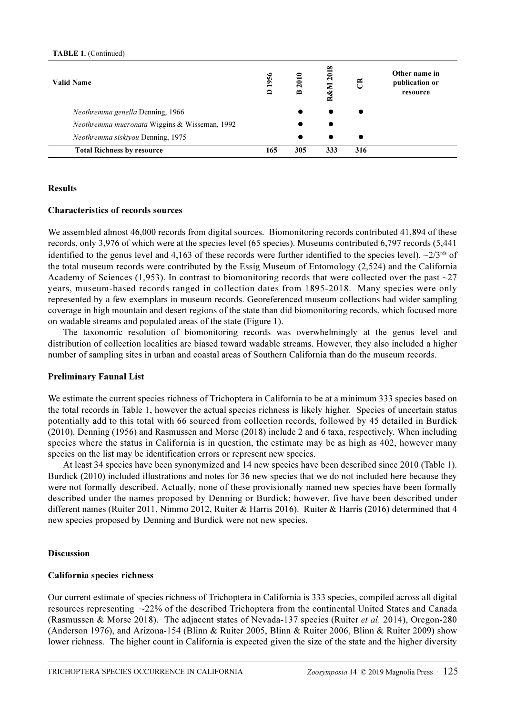| Valid Name                                    | 1956<br>≏ | 201<br>$\mathbf{r}$ | ∞<br>$\overline{20}$<br>হা | $\mathfrak{B}$ | Other name in<br>publication or<br>resource |
|-----------------------------------------------|-----------|---------------------|----------------------------|----------------|---------------------------------------------|
| Neothremma genella Denning, 1966              |           |                     |                            |                |                                             |
| Neothremma mucronata Wiggins & Wisseman, 1992 |           |                     |                            |                |                                             |
| Neothremma siskiyou Denning, 1975             |           |                     |                            |                |                                             |
| <b>Total Richness by resource</b>             | 165       | 305                 | <b>333</b>                 | 316            |                                             |

#### **Results**

### Characteristics of records sources

We assembled almost 46,000 records from digital sources. Biomonitoring records contributed 41,894 of these records, only 3,976 of which were at the species level (65 species). Museums contributed 6,797 records (5,441 identified to the genus level and 4,163 of these records were further identified to the species level).  $\sim$ 2/3<sup>rds</sup> of the total museum records were contributed by the Essig Museum of Entomology (2,524) and the California Academy of Sciences (1,953). In contrast to biomonitoring records that were collected over the past  $\sim$ 27 years, museum-based records ranged in collection dates from 1895-2018. Many species were only represented by a few exemplars in museum records. Georeferenced museum collections had wider sampling coverage in high mountain and desert regions of the state than did biomonitoring records, which focused more on wadable streams and populated areas of the state (Figure 1).

The taxonomic resolution of biomonitoring records was overwhelmingly at the genus level and distribution of collection localities are biased toward wadable streams. However, they also included a higher number of sampling sites in urban and coastal areas of Southern California than do the museum records.

# Preliminary Faunal List

We estimate the current species richness of Trichoptera in California to be at a minimum 333 species based on the total records in Table 1, however the actual species richness is likely higher. Species of uncertain status potentially add to this total with 66 sourced from collection records, followed by 45 detailed in Burdick (2010). Denning (1956) and Rasmussen and Morse (2018) include 2 and 6 taxa, respectively. When including species where the status in California is in question, the estimate may be as high as 402, however many species on the list may be identification errors or represent new species.

At least 34 species have been synonymized and 14 new species have been described since 2010 (Table 1). Burdick (2010) included illustrations and notes for 36 new species that we do not included here because they were not formally described. Actually, none of these provisionally named new species have been formally described under the names proposed by Denning or Burdick; however, five have been described under different names (Ruiter 2011, Nimmo 2012, Ruiter & Harris 2016). Ruiter & Harris (2016) determined that 4 new species proposed by Denning and Burdick were not new species.

### Discussion

### California species richness

Our current estimate of species richness of Trichoptera in California is 333 species, compiled across all digital resources representing ~22% of the described Trichoptera from the continental United States and Canada (Rasmussen & Morse 2018). The adjacent states of Nevada-137 species (Ruiter et al. 2014), Oregon-280 (Anderson 1976), and Arizona-154 (Blinn & Ruiter 2005, Blinn & Ruiter 2006, Blinn & Ruiter 2009) show lower richness. The higher count in California is expected given the size of the state and the higher diversity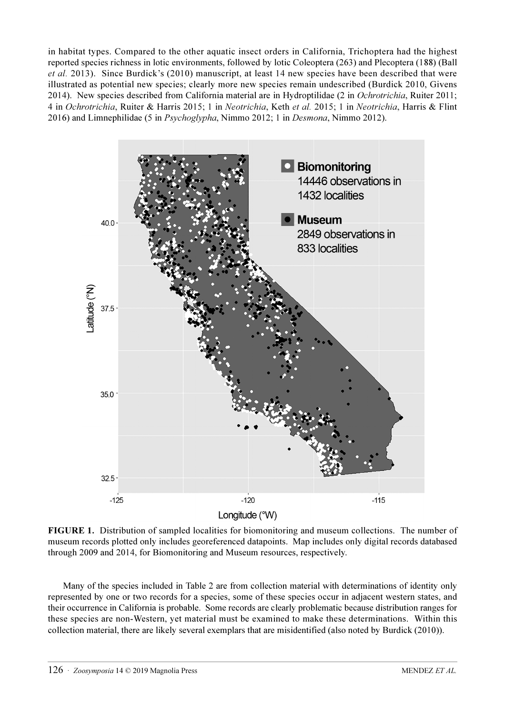in habitat types. Compared to the other aquatic insect orders in California, Trichoptera had the highest reported species richness in lotic environments, followed by lotic Coleoptera (263) and Plecoptera (188) (Ball et al. 2013). Since Burdick's (2010) manuscript, at least 14 new species have been described that were illustrated as potential new species; clearly more new species remain undescribed (Burdick 2010, Givens 2014). New species described from California material are in Hydroptilidae (2 in Ochrotrichia, Ruiter 2011; 4 in Ochrotrichia, Ruiter & Harris 2015; 1 in Neotrichia, Keth et al. 2015; 1 in Neotrichia, Harris & Flint 2016) and Limnephilidae (5 in Psychoglypha, Nimmo 2012; 1 in Desmona, Nimmo 2012).



FIGURE 1. Distribution of sampled localities for biomonitoring and museum collections. The number of museum records plotted only includes georeferenced datapoints. Map includes only digital records databased through 2009 and 2014, for Biomonitoring and Museum resources, respectively.

Many of the species included in Table 2 are from collection material with determinations of identity only represented by one or two records for a species, some of these species occur in adjacent western states, and their occurrence in California is probable. Some records are clearly problematic because distribution ranges for these species are non-Western, yet material must be examined to make these determinations. Within this collection material, there are likely several exemplars that are misidentified (also noted by Burdick (2010)).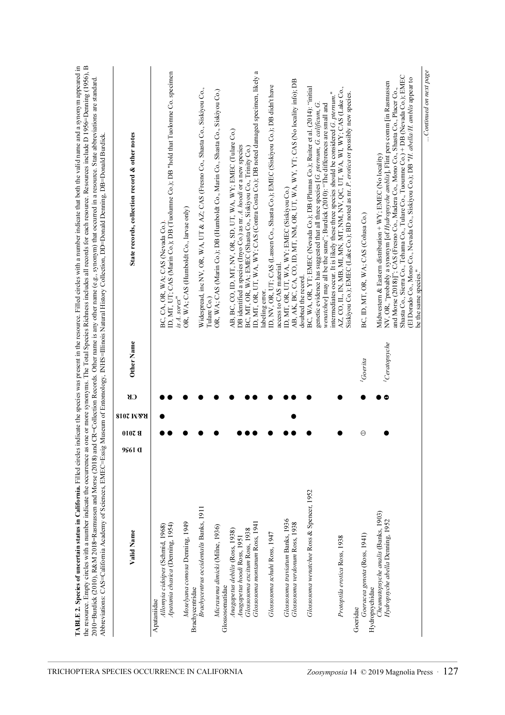| Valid Name                                                                          | <b>B 2010</b><br>956I Q | <b>8107 IV&amp;H</b> | <b>CK</b> | Other Name             | State records, collection record & other notes                                                                                                                                                                                                                                                                                                                                      |
|-------------------------------------------------------------------------------------|-------------------------|----------------------|-----------|------------------------|-------------------------------------------------------------------------------------------------------------------------------------------------------------------------------------------------------------------------------------------------------------------------------------------------------------------------------------------------------------------------------------|
| Apatania chasica (Denning, 1954)<br>Allomyia cidoipes (Schmid, 1968)<br>Apataniidae |                         |                      |           |                        | BC, CA, OR, WA; CAS (Nevada Co.).<br>ID, MT, UT; CAS (Marin Co.); DB (Tuolumne Co.); DB "hold that Tuolomne Co. specimen<br>                                                                                                                                                                                                                                                        |
| Moselyana comosa Deming, 1949<br>Brachycentridae                                    |                         |                      |           |                        | OR, WA; CAS (Humboldt Co., larvae only)<br>is $A$ . sorex"                                                                                                                                                                                                                                                                                                                          |
| Brachycentrus occidentalis Banks, 1911                                              |                         |                      |           |                        | Widespread, inc NV, OR, WA, UT & AZ; CAS (Fresno Co., Shasta Co., Siskiyou Co.,<br>Tulare Co.)                                                                                                                                                                                                                                                                                      |
| Micrasema dimicki (Milne, 1936)<br>Glossosomatidae                                  |                         |                      |           |                        | OR, WA; CAS (Marin Co.); DB (Humboldt Co., Marin Co., Shasta Co., Siskiyou Co.)                                                                                                                                                                                                                                                                                                     |
| Anagapetus debilis (Ross, 1938)<br>Anagapetus hoodi Ross, 1951                      |                         |                      |           |                        | AB, BC, CO, ID, MT, NV, OR, SD, UT, WA, WY; EMEC (Tulare Co.)<br>DB identified a species (Inyo Co.) as nr. A. hoodi or a new species                                                                                                                                                                                                                                                |
| Glossosoma montanum Ross, 1941<br>Glossosoma excitum Ross, 1938                     |                         |                      |           |                        | ID, MT, OR, UT, WA, WY; CAS (Contra Costa Co.); DB noted damaged specimen, likely<br>BC, MT, OR, WA; EMEC (Shasta Co., Siskiyou Co., Trinity Co.)                                                                                                                                                                                                                                   |
| Glossosoma schuhi Ross, 1947                                                        |                         |                      |           |                        | ID, NV, OR, UT; CAS (Lassen Co., Shasta Co.); EMEC (Siskiyou Co.); DB didn't have<br>access to CAS material.<br>labeling error.                                                                                                                                                                                                                                                     |
| Glossosoma traviatum Banks, 1936<br>Glossosoma verdonum Ross, 1938                  |                         |                      |           |                        | AB, AK, BC, CA, CO, ID, MT, NM, OR, UT, WA, WY, YT; CAS (No locality info); DB<br>ID, MT, OR, UT, WA, WY; EMEC (Siskiyou Co.)<br>doubted the record.                                                                                                                                                                                                                                |
| Glossosoma wenatchee Ross & Spencer, 1952                                           |                         |                      |           |                        | BC, WA, OR, YT; EMEC (Nevada Co.); DB (Plumas Co.); Ruiter et al. (2014): "initial<br>intermediates occur. It is likely these three species should be considered G. pternum."<br>genetic evidence has suggested that all three species [G. pternum, G. calificum, G.<br>wenatchee] may all be the same"; Burdick (2010): "The differences are small and                             |
| Protoptila erotica Ross, 1938                                                       |                         |                      |           |                        | AZ, CO, IL, IN, MB, MI, MN, MT, NM, NV, QC, UT, WA, WI, WY; CAS (Lake Co.,<br>Siskiyou Co.); EMEC (Lake Co.); BD noted as nr. P. erotica or possibly new species.                                                                                                                                                                                                                   |
| Goeracea genota (Ross, 1941)<br>Goeridae                                            | Θ                       |                      | ●         | $^{l}Geerta$           | BC, ID, MT, OR, WA; CAS (Colusa Co.)                                                                                                                                                                                                                                                                                                                                                |
| Cheumatopsyche analis (Banks, 1903)<br>Hydropsychidae                               |                         |                      |           |                        | Midwestern & Eastern distribution + WY; EMEC (No locality)                                                                                                                                                                                                                                                                                                                          |
| Hydropsyche abella Denning, 1952                                                    |                         |                      | ●         | $^\prime$ Ceratopsyche | Shasta Co., Sierra Co., Tehama Co., Tulare Co., Tuoumne Co.) + DB (Nevada Co.); EMEC<br>(El Dorado Co., Mono Co., Nevada Co., Siskiyou Co.); DB "H. abella/H. amblis appear to<br>NV, OR, "probably a synonym [of Hydropsyche amblis], Flint pers comm [in Rasmussen<br>and Morse (2018)]"; CAS (Fresno Co., Madera Co., Mono Co., Shasta Co., Placer Co.,<br>be the same species." |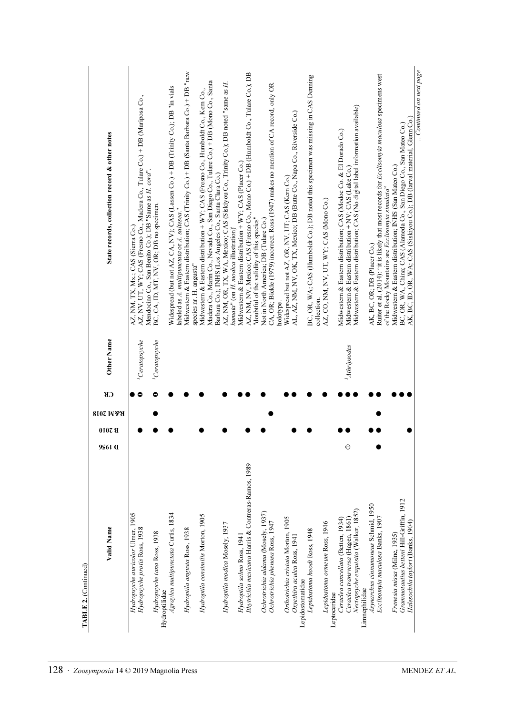| 956I A<br>Valid Name                                                                                                                  | <b>8107 M 251</b><br><b>B 2010</b> | Other Name<br><b>CK</b>        | State records, collection record & other notes                                                                                                                                                                  |
|---------------------------------------------------------------------------------------------------------------------------------------|------------------------------------|--------------------------------|-----------------------------------------------------------------------------------------------------------------------------------------------------------------------------------------------------------------|
| Hydropsyche auricolor Ulmer, 1905<br>Hydropsyche protis Ross, 1938                                                                    |                                    | <sup>1</sup> Ceratopsyche<br>0 | AZ, NV, UT, WY; CAS (Fresno Co., Madera Co., Tulare Co.) + DB (Mariposa Co.,<br>AZ, NM, TX, Mx.; CAS (Sierra Co.)                                                                                               |
| Hydropsyche tana Ross, 1938<br>Hydroptilidae                                                                                          |                                    | <sup>1</sup> Ceratopsyche<br>● | Mendocino Co., San Benito Co.); DB "Same as H. cora".<br>BC, CA, ID, MT, NV, OR; DB no specimen.                                                                                                                |
| Agraylea multipunctata Curtis, 1834                                                                                                   |                                    |                                | Widespread (but not AZ, CA, NV); CAS (Lassen Co.) + DB (Trinity Co.); DB "in vials<br>abeled as A. multipunctata or A. saltesea."                                                                               |
| Hydroptila angusta Ross, 1938                                                                                                         |                                    |                                | Midwestern & Eastern distribution; CAS (Trinity Co.) + DB (Santa Barbara Co.) + DB "new                                                                                                                         |
| Hydroptila consimilis Morton, 1905                                                                                                    |                                    |                                | Madera Co., Marin Co., Nevada Co., San Diego Co., Tulare Co.) + DB (Mono Co., Santa<br>Midwestern & Eastern distribution + WY; CAS (Fresno Co., Humboldt Co., Kern Co.,<br>species nr. H. angusta"              |
| Hydroptila modica Mosely, 1937                                                                                                        |                                    |                                | AZ, NM, OR, TX, WA, Mexico; CAS (Siskiyou Co., Trinity Co.); DB noted "same as H.<br>Barbara Co.); INHS (Los Angeles Co., Santa Clara Co.)<br>hamata" (on H. modica illustration)'                              |
| Ithytrichia mexicana Harris & Contreras-Ramos, 1989<br>Hydroptila salmo Ross, 1941                                                    |                                    |                                | AZ, NM, NY, Mexico; CAS (Fresno Co., Mono Co.) + DB (Humboldt Co., Tulare Co.); DB<br>Midwestern & Eastern distribution + WY; CAS (Placer Co.)                                                                  |
| Ochrotrichia aldama (Mosely, 1937)<br>Ochrotrichia phenosa Ross, 1947                                                                 |                                    |                                | CA, OR; Bickle (1979) incorrect. Ross (1947) makes no mention of CA record, only OR<br>"doubtful of the validity of this species"<br>Not in North America; DB (Tulare Co.)                                      |
| Orthotrichia cristata Morton, 1905<br>Oxyethira aculea Ross, 1941                                                                     |                                    |                                | AL, AZ, NM, NV, OK, TX, Mexico; DB (Butte Co., Napa Co., Riverside Co.)<br>Widespread but not AZ, OR, NV, UT; CAS (Kern Co.)<br>holotype.                                                                       |
| Lepidostoma hoodi Ross, 1948<br>Lepidostomatidae                                                                                      |                                    |                                | BC, OR, WA; CAS (Humboldt Co.); DB noted this specimen was missing in CAS Deming                                                                                                                                |
| Lepidostoma ormeum Ross, 1946<br>Leptoceridae                                                                                         |                                    |                                | AZ, CO, NM, NV, UT, WY; CAS (Mono Co.)<br>collection.                                                                                                                                                           |
| Θ<br>Nectopsyche exquisita (Walker, 1852)<br>Ceraclea cancellata (Betten, 1934)<br>Ceraclea transversa (Hagen, 1861)<br>Limnephilidae |                                    | Athripsodes                    | Midwestern & Eastern distribution; CAS (No digital label information available)<br>Midwestern & Eastern distribution; CAS (Modoc Co. & El Dorado Co.)<br>Midwestern & Eastern distribution + NV; CAS (Lake Co.) |
| Asynarchus cinnamoneus Schmid, 1950<br>Ecclisomyia maculosa Banks, 1907                                                               |                                    |                                | Ruiter et al. (2014): "it is likely that most records for Ecclisomyia maculosa specimens west<br>of the Rocky Mountains are Ecclisomyia simulata"<br>AK, BC, OR; DB (Placer Co.)                                |
| Grammotaulius betteni Hill-Griffin, 1912<br>Halesochila taylori (Banks, 1904)<br>Frenesia missa (Milne, 1935)                         |                                    |                                | AK, BC, ID, OR, WA; CAS (Siskiyou Co.); DB (larval material, Glenn Co.)<br>BC, OR, WA, China; CAS (Alameda Co., San Diego Co., San Mateo Co.)<br>Midwestern & Eastern distribution; INHS (San Mateo Co.)        |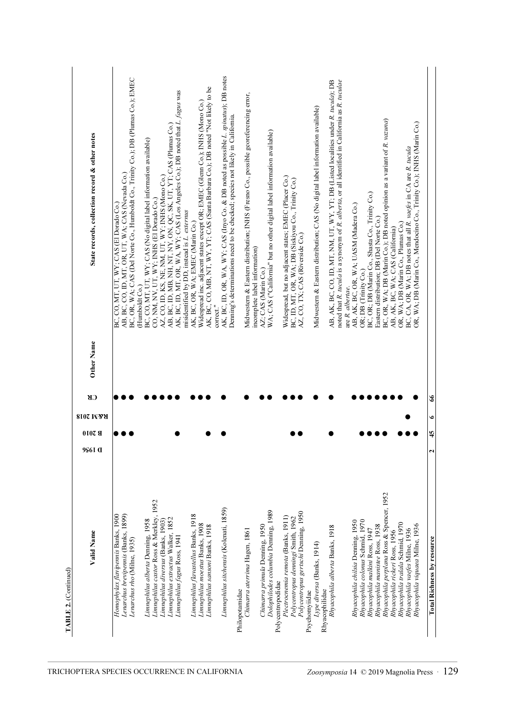| Valid Name                                                                                                                                                                               | <b>8107 IV&amp;H</b><br><b>B 2010</b><br>9\$61 Q | <b>CK</b> | Other Name | State records, collection record & other notes                                                                                                                                                                                                                                                                                        |
|------------------------------------------------------------------------------------------------------------------------------------------------------------------------------------------|--------------------------------------------------|-----------|------------|---------------------------------------------------------------------------------------------------------------------------------------------------------------------------------------------------------------------------------------------------------------------------------------------------------------------------------------|
| Lenarchus brevipennis (Banks, 1899)<br>Homophylax flavipennis Banks, 1900<br>Lenarchus rho (Milne, 1935)                                                                                 |                                                  |           |            | BC, OR, WA; CAS (Del Norte Co., Humboldt Co., Trinity Co.); DB (Plumas Co.); EMEC<br>AB, BC, CO, ID, MT, OR, UT, WA; CAS (Nevada Co.)<br>BC, CO, MT, UT, WY; CAS (El Dorado Co.)                                                                                                                                                      |
| Linnephilus castor Ross & Merkley, 1952<br>Linmephilus extractus Walker, 1852<br>Linnephilus alberta Denning, 1958<br>Linmephilus diversus (Banks, 1903)<br>Linnephilus fagus Ross, 1941 |                                                  |           |            | AK, BC, ID, MT, OR, WA, WY; CAS (Los Angeles Co.); DB noted that L fagus was<br>CO, NM, NV, UT, WY; INHS (El Dorado Co.)<br>AZ, CO, ID, KS, NE, NM, UT, WY; INHS (Mono Co.)<br>AB, BC, ID, MB, NH, NT, NY, ON, QC, SK, UT, YT; CAS (Plumas Co.)<br>BC, CO, MT, UT, WY; CAS (No digital label information available)<br>(Humboldt Co.) |
| Linmephilus flavastellus Banks, 1918<br>Limnephilus moestus Banks, 1908<br>Linmephilus sansoni Banks, 1918                                                                               |                                                  |           |            | AK, BC, CO, MB, NT, WY, YT; CAS (Santa Barbara Co.); DB noted "Not likely to be<br>Widespread inc. adjacent states except OR; EMEC (Glenn Co.); INHS (Mono Co.)<br>misidentified by DD, instead is L. externus<br>AK, BC, OR, WA; EMEC (Marin Co.)<br>correct."                                                                       |
| Limnephilus sitchensis (Kolenati, 1859)                                                                                                                                                  |                                                  |           |            | AK, BC, ID, OR, WA, WY; CAS (Inyo Co. & DB noted as possible L. spinatus); DB notes<br>Denning's determinations need to be checked; species not likely in California.                                                                                                                                                                 |
| Chimarra primula Denning, 1950<br>Chimarra aterrina Hagen, 1861<br>Philopotamidae                                                                                                        |                                                  |           |            | Midwestern & Eastern distribution; INHS (Fresno Co., possible georeferencing error,<br>WA; CAS ("California" but no other digital label information available)<br>incomplete label information)<br>AZ; CAS (Marin Co.)                                                                                                                |
| Dolophilodes columbia Denning, 1989<br>Polycentropus gertschi Denning, 1950<br>Plectrocnemia remota (Banks, 1911)<br>Polycentropus denningi Smith, 1962<br>Polycentropodidae             |                                                  |           |            | Widespread, but no adjacent states; EMEC (Placer Co.)<br>BC, ID, MT, OR, WA; DB (Siskiyou Co., Trinity Co.)<br>AZ, CO, TX; CAS (Riverside Co.)                                                                                                                                                                                        |
| Lype diversa (Banks, 1914)<br>Rhyacophilidae<br>Psychomyiidae                                                                                                                            |                                                  |           |            | Midwestern & Eastern distribution; CAS (No digital label information available)                                                                                                                                                                                                                                                       |
| Rhyacophila alberta Banks, 1918                                                                                                                                                          |                                                  |           |            | noted that R. tucula is a synonym of R. alberta, or all identified in California as R. tuculae<br>AB, AK, BC, CO, ID, MT, NM, UT, WY, YT; DB (Listed localities under R. tucula); DB<br>are R. albertae.                                                                                                                              |
| Rhyacophila colonus Schmid, 1970<br>Rhyacophila chilsia Deming, 1950                                                                                                                     |                                                  |           |            | AB, AK, BC, OR, WA; UASM (Madera Co.)<br>OR; DB (Trinity Co.)                                                                                                                                                                                                                                                                         |
| Rhyacophila manistee Ross, 1938<br>Rhyacophila malkini Ross, 1947                                                                                                                        |                                                  |           |            | BC, OR; DB (Marin Co., Shasta Co., Trinity Co.)<br>Eastern distribution; DB (Del Norte Co.)                                                                                                                                                                                                                                           |
| Rhyacophila perplana Ross & Spencer, 1952                                                                                                                                                |                                                  |           |            | BC, OR, WA; DB (Marin Co.); DB noted opinion as a variant of R. vazuna)                                                                                                                                                                                                                                                               |
| Rhyacophila tralala Schmid, 1970<br>Rhyacophila viquaea Milne, 1936<br>Rhyacophila vaefes Milne, 1936<br>Rhyacophila rickeri Ross, 1956                                                  |                                                  |           |            | OR, WA; DB (Marin Co., Mendocino Co., Trinity Co.); INHS (Marin Co.)<br>BC, CA, OR, WA; DB notes that all R vaefes in CA are R tucula<br>OR, WA; DB (Marin Co., Plumas Co.)<br>AB, AK, BC, WA; CAS (California)                                                                                                                       |
| Total Richness by resource                                                                                                                                                               | $\bullet$<br>45<br>$\mathbf{\tilde{c}}$          | ತಿ        |            |                                                                                                                                                                                                                                                                                                                                       |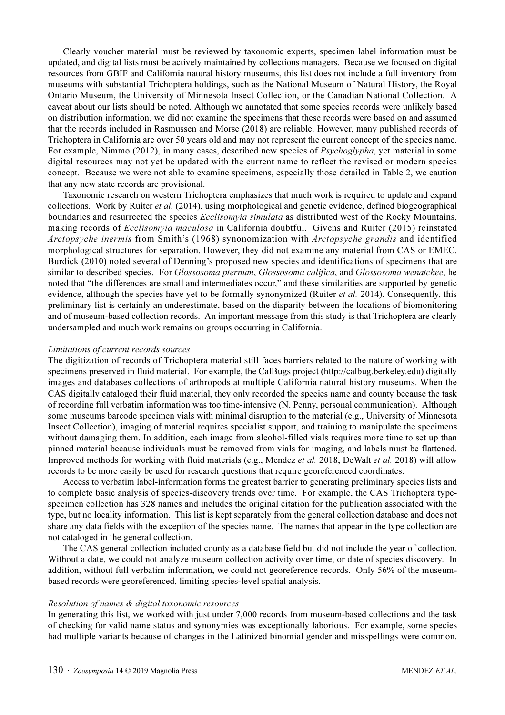Clearly voucher material must be reviewed by taxonomic experts, specimen label information must be updated, and digital lists must be actively maintained by collections managers. Because we focused on digital resources from GBIF and California natural history museums, this list does not include a full inventory from museums with substantial Trichoptera holdings, such as the National Museum of Natural History, the Royal Ontario Museum, the University of Minnesota Insect Collection, or the Canadian National Collection. A caveat about our lists should be noted. Although we annotated that some species records were unlikely based on distribution information, we did not examine the specimens that these records were based on and assumed that the records included in Rasmussen and Morse (2018) are reliable. However, many published records of Trichoptera in California are over 50 years old and may not represent the current concept of the species name. For example, Nimmo (2012), in many cases, described new species of Psychoglypha, yet material in some digital resources may not yet be updated with the current name to reflect the revised or modern species concept. Because we were not able to examine specimens, especially those detailed in Table 2, we caution that any new state records are provisional.

Taxonomic research on western Trichoptera emphasizes that much work is required to update and expand collections. Work by Ruiter *et al.* (2014), using morphological and genetic evidence, defined biogeographical boundaries and resurrected the species *Ecclisomyia simulata* as distributed west of the Rocky Mountains, making records of Ecclisomyia maculosa in California doubtful. Givens and Ruiter (2015) reinstated Arctopsyche inermis from Smith's (1968) synonomization with Arctopsyche grandis and identified morphological structures for separation. However, they did not examine any material from CAS or EMEC. Burdick (2010) noted several of Denning's proposed new species and identifications of specimens that are similar to described species. For Glossosoma pternum, Glossosoma califica, and Glossosoma wenatchee, he noted that "the differences are small and intermediates occur," and these similarities are supported by genetic evidence, although the species have yet to be formally synonymized (Ruiter *et al.* 2014). Consequently, this preliminary list is certainly an underestimate, based on the disparity between the locations of biomonitoring and of museum-based collection records. An important message from this study is that Trichoptera are clearly undersampled and much work remains on groups occurring in California.

### Limitations of current records sources

[The digitization of records of Trichoptera material still faces barriers related to the nature of working with](http://calbug.berkeley.edu) specimens preserved in fluid material. For example, the CalBugs project (http://calbug.berkeley.edu) digitally images and databases collections of arthropods at multiple California natural history museums. When the CAS digitally cataloged their fluid material, they only recorded the species name and county because the task of recording full verbatim information was too time-intensive (N. Penny, personal communication). Although some museums barcode specimen vials with minimal disruption to the material (e.g., University of Minnesota Insect Collection), imaging of material requires specialist support, and training to manipulate the specimens without damaging them. In addition, each image from alcohol-filled vials requires more time to set up than pinned material because individuals must be removed from vials for imaging, and labels must be flattened. [Improved methods for working with fluid materials \(e.g., Mendez](http://calbug.berkeley.edu) et al. 2018, DeWalt et al. 2018) will allow records to be more easily be used for research questions that require georeferenced coordinates.

Access to verbatim label-information forms the greatest barrier to generating preliminary species lists and to complete basic analysis of species-discovery trends over time. For example, the CAS Trichoptera typespecimen collection has 328 names and includes the original citation for the publication associated with the type, but no locality information. This list is kept separately from the general collection database and does not share any data fields with the exception of the species name. The names that appear in the type collection are not cataloged in the general collection.

The CAS general collection included county as a database field but did not include the year of collection. Without a date, we could not analyze museum collection activity over time, or date of species discovery. In addition, without full verbatim information, we could not georeference records. Only 56% of the museumbased records were georeferenced, limiting species-level spatial analysis.

# Resolution of names & digital taxonomic resources

In generating this list, we worked with just under 7,000 records from museum-based collections and the task of checking for valid name status and synonymies was exceptionally laborious. For example, some species had multiple variants because of changes in the Latinized binomial gender and misspellings were common.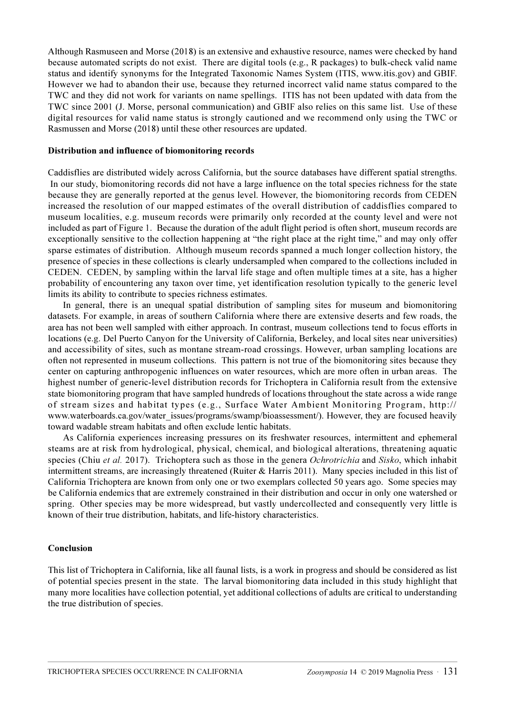Although Rasmuseen and Morse (2018) is an extensive and exhaustive resource, names were checked by hand because automated scripts do not exist. There are digital tools (e.g., R packages) to bulk-check valid name status and identify synonyms for the Integrated Taxonomic Names System (ITIS, [www.itis.gov](http://www.itis.gov)) and GBIF. However we had to abandon their use, because they returned incorrect valid name status compared to the TWC and they did not work for variants on name spellings. ITIS has not been updated with data from the TWC since 2001 (J. Morse, personal communication) and GBIF also relies on this same list. Use of these digital resources for valid name status is strongly cautioned and we recommend only using the TWC or Rasmussen and Morse (2018) until these other resources are updated.

### Distribution and influence of biomonitoring records

Caddisflies are distributed widely across California, but the source databases have different spatial strengths. In our study, biomonitoring records did not have a large influence on the total species richness for the state because they are generally reported at the genus level. However, the biomonitoring records from CEDEN increased the resolution of our mapped estimates of the overall distribution of caddisflies compared to museum localities, e.g. museum records were primarily only recorded at the county level and were not included as part of Figure 1. Because the duration of the adult flight period is often short, museum records are exceptionally sensitive to the collection happening at "the right place at the right time," and may only offer sparse estimates of distribution. Although museum records spanned a much longer collection history, the presence of species in these collections is clearly undersampled when compared to the collections included in CEDEN. CEDEN, by sampling within the larval life stage and often multiple times at a site, has a higher probability of encountering any taxon over time, yet identification resolution typically to the generic level limits its ability to contribute to species richness estimates.

In general, there is an unequal spatial distribution of sampling sites for museum and biomonitoring datasets. For example, in areas of southern California where there are extensive deserts and few roads, the area has not been well sampled with either approach. In contrast, museum collections tend to focus efforts in locations (e.g. Del Puerto Canyon for the University of California, Berkeley, and local sites near universities) and accessibility of sites, such as montane stream-road crossings. However, urban sampling locations are often not represented in museum collections. This pattern is not true of the biomonitoring sites because they center on capturing anthropogenic influences on water resources, which are more often in urban areas. The highest number of generic-level distribution records for Trichoptera in California result from the extensive state biomonitoring program that have sampled hundreds of locations throughout the state across a wide range of stream sizes and habitat types (e.g., Surface Water Ambient Monitoring Program, [http://](http://www.waterboards.ca.gov/water_issues/programs/swamp/bioassessment/) [www.waterboards.ca.gov/water\\_issues/programs/swamp/bioassessment/](http://www.waterboards.ca.gov/water_issues/programs/swamp/bioassessment/)). However, they are focused heavily toward wadable stream habitats and often exclude lentic habitats.

As California experiences increasing pressures on its freshwater resources, intermittent and ephemeral steams are at risk from hydrological, physical, chemical, and biological alterations, threatening aquatic species (Chiu et al. 2017). Trichoptera such as those in the genera Ochrotrichia and Sisko, which inhabit intermittent streams, are increasingly threatened (Ruiter & Harris 2011). Many species included in this list of California Trichoptera are known from only one or two exemplars collected 50 years ago. Some species may be California endemics that are extremely constrained in their distribution and occur in only one watershed or spring. Other species may be more widespread, but vastly undercollected and consequently very little is known of their true distribution, habitats, and life-history characteristics.

# Conclusion

This list of Trichoptera in California, like all faunal lists, is a work in progress and should be considered as list of potential species present in the state. The larval biomonitoring data included in this study highlight that many more localities have collection potential, yet additional collections of adults are critical to understanding the true distribution of species.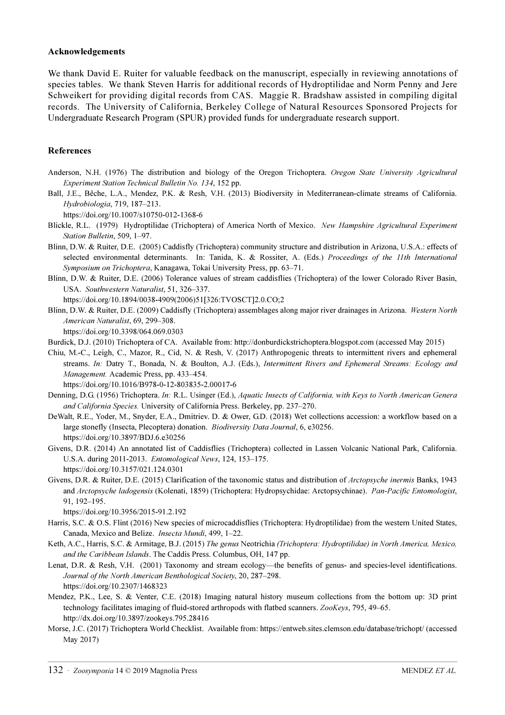### Acknowledgements

We thank David E. Ruiter for valuable feedback on the manuscript, especially in reviewing annotations of species tables. We thank Steven Harris for additional records of Hydroptilidae and Norm Penny and Jere Schweikert for providing digital records from CAS. Maggie R. Bradshaw assisted in compiling digital records. The University of California, Berkeley College of Natural Resources Sponsored Projects for Undergraduate Research Program (SPUR) provided funds for undergraduate research support.

### References

- Anderson, N.H. (1976) The distribution and biology of the Oregon Trichoptera. Oregon State University Agricultural Experiment Station Technical Bulletin No. 134, 152 pp.
- Ball, J.E., Bêche, L.A., Mendez, P.K. & Resh, V.H. (2013) Biodiversity in Mediterranean-climate streams of California. Hydrobiologia, 719, 187–213.
	- <https://doi.org/10.1007/s10750-012-1368-6>
- Blickle, R.L. (1979) Hydroptilidae (Trichoptera) of America North of Mexico. New Hampshire Agricultural Experiment Station Bulletin, 509, 1–97.
- Blinn, D.W. & Ruiter, D.E. (2005) Caddisfly (Trichoptera) community structure and distribution in Arizona, U.S.A.: effects of selected environmental determinants. In: Tanida, K. & Rossiter, A. (Eds.) Proceedings of the 11th International Symposium on Trichoptera, Kanagawa, Tokai University Press, pp. 63–71.
- Blinn, D.W. & Ruiter, D.E. (2006) Tolerance values of stream caddisflies (Trichoptera) of the lower Colorado River Basin, USA. Southwestern Naturalist, 51, 326–337.
	- [https://doi.org/10.1894/0038-4909\(2006\)51\[326:TVOSCT\]2.0.CO;2](https://doi.org/10.1894/0038-4909(2006)51[326:TVOSCT]2.0.CO;2)
- Blinn, D.W. & Ruiter, D.E. (2009) Caddisfly (Trichoptera) assemblages along major river drainages in Arizona. Western North American Naturalist, 69, 299–308.

https://doi.org/10.3398/064.069.0303

- [Burdick, D.J. \(2010\) Trichoptera of CA. Available from:](http://dl.dropbox.com/u/16845251/Trichoptera of CA FINAL.pdf) [http://donburdickstrichoptera.blogspot.com \(accessed May 2015\)](http://donburdickstrichoptera.blogspot.com)
- Chiu, M.-C., Leigh, C., Mazor, R., Cid, N. & Resh, V. (2017) Anthropogenic threats to intermittent rivers and ephemeral streams. In: Datry T., Bonada, N. & Boulton, A.J. (Eds.), Intermittent Rivers and Ephemeral Streams: Ecology and Management. Academic Press, pp. 433–454.

https://doi.org/10.1016/B978-0-12-803835-2.00017-6

- Denning, D.G. (1956) Trichoptera. In: R.L. Usinger (Ed.), Aquatic Insects of California, with Keys to North American Genera and California Species. University of California Press. Berkeley, pp. 237–270.
- DeWalt, R.E., Yoder, M., Snyder, E.A., Dmitriev. D. & Ower, G.D. (2018) Wet collections accession: a workflow based on a large stonefly (Insecta, Plecoptera) donation. Biodiversity Data Journal, 6, e30256. <https://doi.org/10.3897/BDJ.6.e30256>
- Givens, D.R. (2014) An annotated list of Caddisflies (Trichoptera) collected in Lassen Volcanic National Park, California. U.S.A. during 2011-2013. Entomological News, 124, 153–175. <https://doi.org/10.3157/021.124.0301>
- Givens, D.R. & Ruiter, D.E. (2015) Clarification of the taxonomic status and distribution of Arctopsyche inermis Banks, 1943 and Arctopsyche ladogensis (Kolenati, 1859) (Trichoptera: Hydropsychidae: Arctopsychinae). Pan-Pacific Entomologist, 91, 192–195.

<https://doi.org/10.3956/2015-91.2.192>

- Harris, S.C. & O.S. Flint (2016) New species of microcaddisflies (Trichoptera: Hydroptilidae) from the western United States, Canada, Mexico and Belize. Insecta Mundi, 499, 1–22.
- Keth, A.C., Harris, S.C. & Armitage, B.J. (2015) The genus Neotrichia (Trichoptera: Hydroptilidae) in North America, Mexico, and the Caribbean Islands. The Caddis Press. Columbus, OH, 147 pp.
- Lenat, D.R. & Resh, V.H. (2001) Taxonomy and stream ecology—the benefits of genus- and species-level identifications. Journal of the North American Benthological Society, 20, 287–298. <https://doi.org/10.2307/1468323>
- Mendez, P.K., Lee, S. & Venter, C.E. (2018) Imaging natural history museum collections from the bottom up: 3D print technology facilitates imaging of fluid-stored arthropods with flatbed scanners. ZooKeys, 795, 49–65. <http://dx.doi.org/10.3897/zookeys.795.28416>
- Morse, J.C. (2017) Trichoptera World Checklist. Available from: https://entweb.sites.clemson.edu/database/trichopt/ (accessed May 2017)